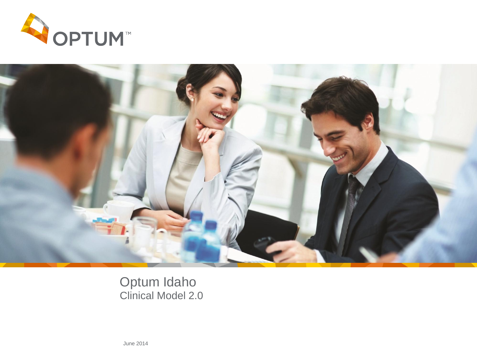



Optum Idaho Clinical Model 2.0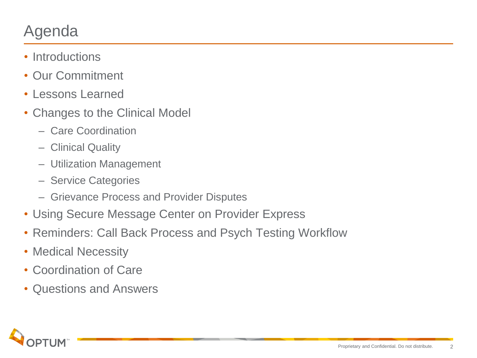## Agenda

- Introductions
- Our Commitment
- Lessons Learned
- Changes to the Clinical Model
	- Care Coordination
	- Clinical Quality
	- Utilization Management
	- Service Categories
	- Grievance Process and Provider Disputes
- Using Secure Message Center on Provider Express
- Reminders: Call Back Process and Psych Testing Workflow
- Medical Necessity
- Coordination of Care
- Questions and Answers

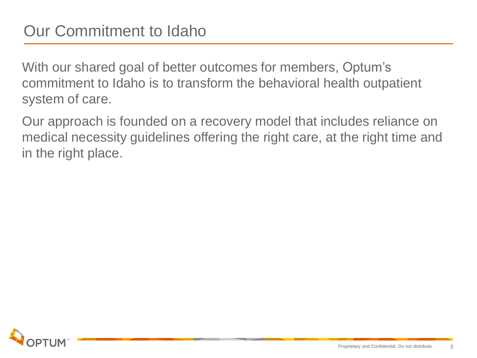With our shared goal of better outcomes for members, Optum's commitment to Idaho is to transform the behavioral health outpatient system of care.

Our approach is founded on a recovery model that includes reliance on medical necessity guidelines offering the right care, at the right time and in the right place.

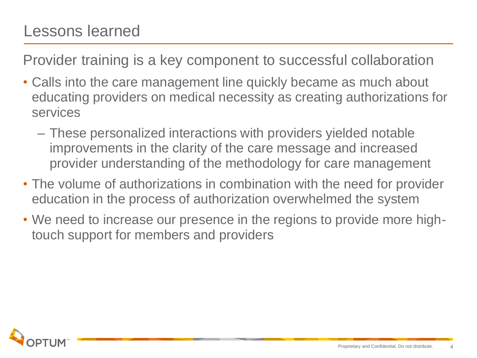#### Lessons learned

Provider training is a key component to successful collaboration

- Calls into the care management line quickly became as much about educating providers on medical necessity as creating authorizations for services
	- These personalized interactions with providers yielded notable improvements in the clarity of the care message and increased provider understanding of the methodology for care management
- The volume of authorizations in combination with the need for provider education in the process of authorization overwhelmed the system
- We need to increase our presence in the regions to provide more hightouch support for members and providers

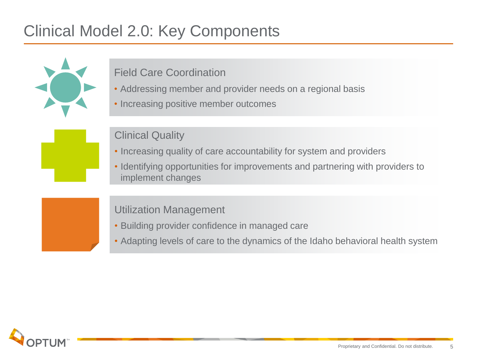## Clinical Model 2.0: Key Components



#### Field Care Coordination

- Addressing member and provider needs on a regional basis
- Increasing positive member outcomes

#### Clinical Quality

- Increasing quality of care accountability for system and providers
- Identifying opportunities for improvements and partnering with providers to implement changes

#### Utilization Management

- Building provider confidence in managed care
- Adapting levels of care to the dynamics of the Idaho behavioral health system

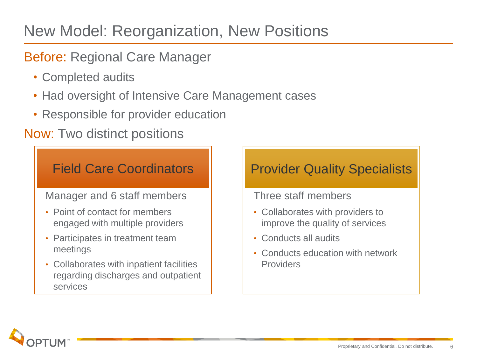## New Model: Reorganization, New Positions

#### Before: Regional Care Manager

- Completed audits
- Had oversight of Intensive Care Management cases
- Responsible for provider education

#### Now: Two distinct positions

#### Manager and 6 staff members • Point of contact for members engaged with multiple providers • Participates in treatment team meetings • Collaborates with inpatient facilities regarding discharges and outpatient services Field Care Coordinators

#### Provider Quality Specialists

#### Three staff members

- Collaborates with providers to improve the quality of services
- Conducts all audits
- Conducts education with network Providers

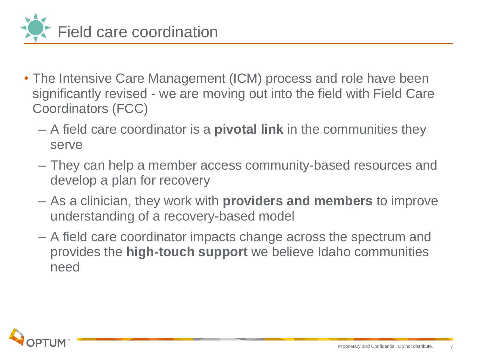

- The Intensive Care Management (ICM) process and role have been significantly revised - we are moving out into the field with Field Care Coordinators (FCC)
	- A field care coordinator is a **pivotal link** in the communities they serve
	- They can help a member access community-based resources and develop a plan for recovery
	- As a clinician, they work with **providers and members** to improve understanding of a recovery-based model
	- A field care coordinator impacts change across the spectrum and provides the **high-touch support** we believe Idaho communities need

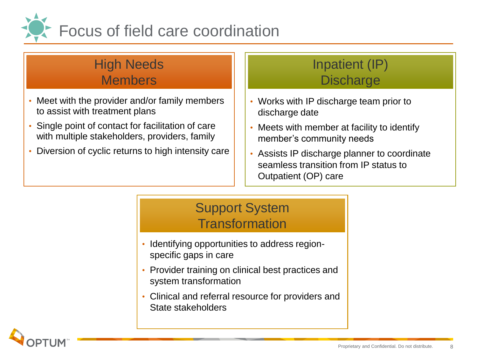

#### High Needs Members

- Meet with the provider and/or family members to assist with treatment plans
- Single point of contact for facilitation of care with multiple stakeholders, providers, family
- Diversion of cyclic returns to high intensity care

#### Inpatient (IP) **Discharge**

- Works with IP discharge team prior to discharge date
- Meets with member at facility to identify member's community needs
- Assists IP discharge planner to coordinate seamless transition from IP status to Outpatient (OP) care

#### Support System **Transformation**

- Identifying opportunities to address regionspecific gaps in care
- Provider training on clinical best practices and system transformation
- Clinical and referral resource for providers and State stakeholders

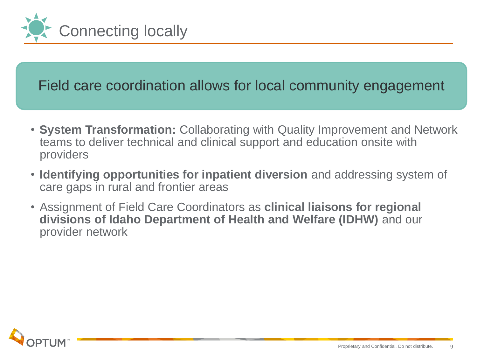

#### Field care coordination allows for local community engagement

- **System Transformation:** Collaborating with Quality Improvement and Network teams to deliver technical and clinical support and education onsite with providers
- **Identifying opportunities for inpatient diversion** and addressing system of care gaps in rural and frontier areas
- Assignment of Field Care Coordinators as **clinical liaisons for regional divisions of Idaho Department of Health and Welfare (IDHW)** and our provider network

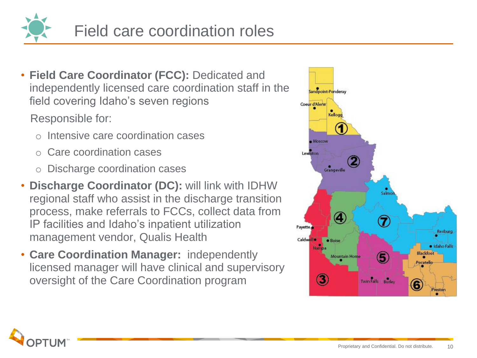

• **Field Care Coordinator (FCC):** Dedicated and independently licensed care coordination staff in the field covering Idaho's seven regions

Responsible for:

- Intensive care coordination cases
- Care coordination cases
- o Discharge coordination cases
- **Discharge Coordinator (DC):** will link with IDHW regional staff who assist in the discharge transition process, make referrals to FCCs, collect data from IP facilities and Idaho's inpatient utilization management vendor, Qualis Health
- **Care Coordination Manager:** independently licensed manager will have clinical and supervisory oversight of the Care Coordination program



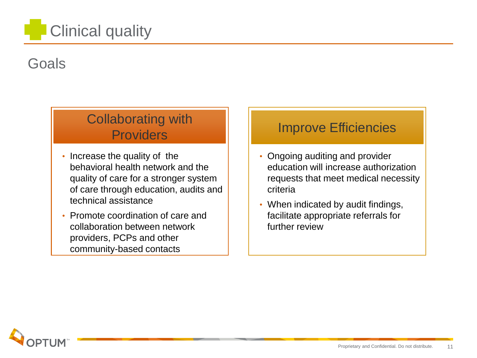# Clinical quality

#### Goals

#### Collaborating with **Providers**

- Increase the quality of the behavioral health network and the quality of care for a stronger system of care through education, audits and technical assistance
- Promote coordination of care and collaboration between network providers, PCPs and other community-based contacts

#### Improve Efficiencies

- Ongoing auditing and provider education will increase authorization requests that meet medical necessity criteria
- When indicated by audit findings, facilitate appropriate referrals for further review

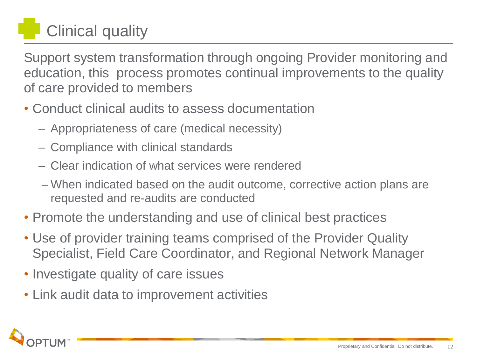# Clinical quality

Support system transformation through ongoing Provider monitoring and education, this process promotes continual improvements to the quality of care provided to members

- Conduct clinical audits to assess documentation
	- Appropriateness of care (medical necessity)
	- Compliance with clinical standards
	- Clear indication of what services were rendered
	- When indicated based on the audit outcome, corrective action plans are requested and re-audits are conducted
- Promote the understanding and use of clinical best practices
- Use of provider training teams comprised of the Provider Quality Specialist, Field Care Coordinator, and Regional Network Manager
- Investigate quality of care issues
- Link audit data to improvement activities

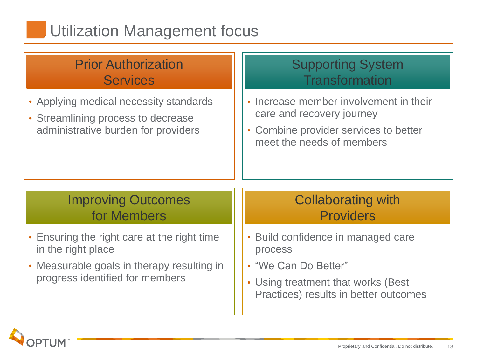## Utilization Management focus

#### • Applying medical necessity standards • Streamlining process to decrease administrative burden for providers • Increase member involvement in their care and recovery journey • Combine provider services to better meet the needs of members • Build confidence in managed care process • "We Can Do Better" • Using treatment that works (Best Practices) results in better outcomes • Ensuring the right care at the right time in the right place • Measurable goals in therapy resulting in progress identified for members Prior Authorization **Services** Supporting System **Transformation** Improving Outcomes for Members Collaborating with Providers

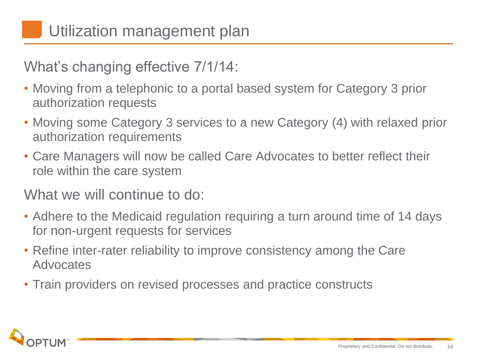What's changing effective 7/1/14:

- Moving from a telephonic to a portal based system for Category 3 prior authorization requests
- Moving some Category 3 services to a new Category (4) with relaxed prior authorization requirements
- Care Managers will now be called Care Advocates to better reflect their role within the care system

What we will continue to do:

- Adhere to the Medicaid regulation requiring a turn around time of 14 days for non-urgent requests for services
- Refine inter-rater reliability to improve consistency among the Care Advocates
- Train providers on revised processes and practice constructs

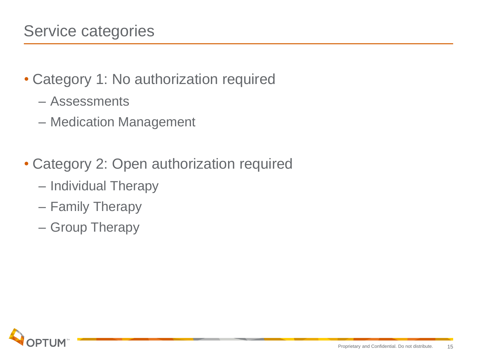- Category 1: No authorization required
	- Assessments
	- Medication Management
- Category 2: Open authorization required
	- Individual Therapy
	- Family Therapy
	- Group Therapy

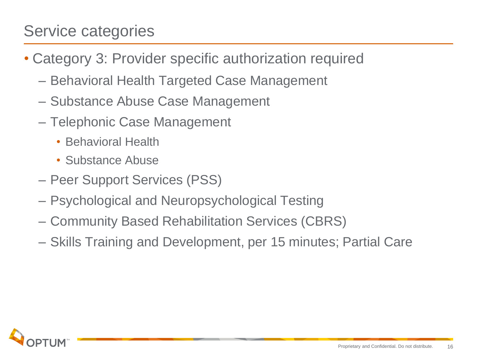#### Service categories

- Category 3: Provider specific authorization required
	- Behavioral Health Targeted Case Management
	- Substance Abuse Case Management
	- Telephonic Case Management
		- Behavioral Health
		- Substance Abuse
	- Peer Support Services (PSS)
	- Psychological and Neuropsychological Testing
	- Community Based Rehabilitation Services (CBRS)
	- Skills Training and Development, per 15 minutes; Partial Care

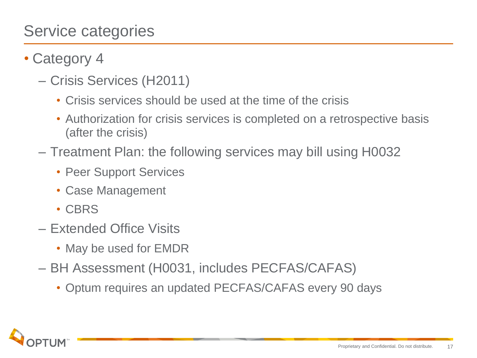#### Service categories

- Category 4
	- Crisis Services (H2011)
		- Crisis services should be used at the time of the crisis
		- Authorization for crisis services is completed on a retrospective basis (after the crisis)
	- Treatment Plan: the following services may bill using H0032
		- Peer Support Services
		- Case Management
		- CBRS
	- Extended Office Visits
		- May be used for EMDR
	- BH Assessment (H0031, includes PECFAS/CAFAS)
		- Optum requires an updated PECFAS/CAFAS every 90 days

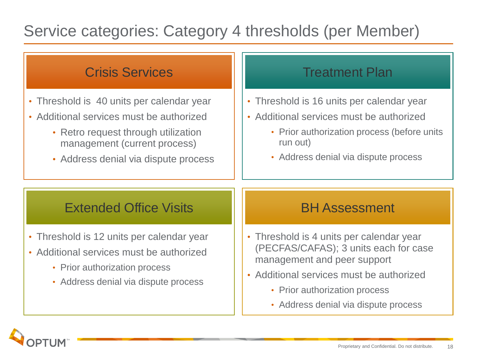## Service categories: Category 4 thresholds (per Member)

| <b>Crisis Services</b>                                                                                                                                                                               | <b>Treatment Plan</b>                                                                                                                                                                                                                 |
|------------------------------------------------------------------------------------------------------------------------------------------------------------------------------------------------------|---------------------------------------------------------------------------------------------------------------------------------------------------------------------------------------------------------------------------------------|
| • Threshold is 40 units per calendar year<br>• Additional services must be authorized<br>• Retro request through utilization<br>management (current process)<br>• Address denial via dispute process | • Threshold is 16 units per calendar year<br>• Additional services must be authorized<br>• Prior authorization process (before units<br>run out)<br>• Address denial via dispute process                                              |
| <b>Extended Office Visits</b>                                                                                                                                                                        | <b>BH Assessment</b>                                                                                                                                                                                                                  |
| • Threshold is 12 units per calendar year<br>• Additional services must be authorized<br>• Prior authorization process<br>• Address denial via dispute process                                       | • Threshold is 4 units per calendar year<br>(PECFAS/CAFAS); 3 units each for case<br>management and peer support<br>• Additional services must be authorized<br>• Prior authorization process<br>• Address denial via dispute process |

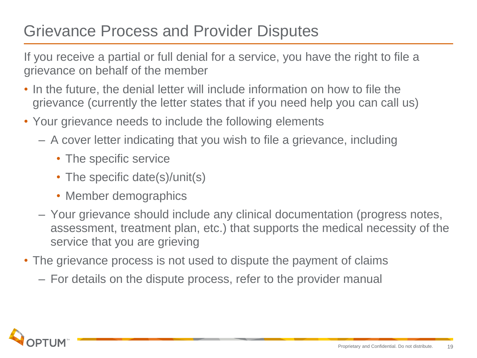### Grievance Process and Provider Disputes

If you receive a partial or full denial for a service, you have the right to file a grievance on behalf of the member

- In the future, the denial letter will include information on how to file the grievance (currently the letter states that if you need help you can call us)
- Your grievance needs to include the following elements
	- A cover letter indicating that you wish to file a grievance, including
		- The specific service
		- The specific date(s)/unit(s)
		- Member demographics
	- Your grievance should include any clinical documentation (progress notes, assessment, treatment plan, etc.) that supports the medical necessity of the service that you are grieving
- The grievance process is not used to dispute the payment of claims
	- For details on the dispute process, refer to the provider manual

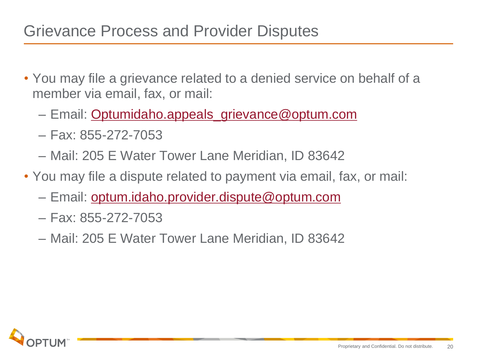#### Grievance Process and Provider Disputes

- You may file a grievance related to a denied service on behalf of a member via email, fax, or mail:
	- Email: [Optumidaho.appeals\\_grievance@optum.com](mailto:Optumidaho.appeals_grievances@optum.com)
	- Fax: 855-272-7053
	- Mail: 205 E Water Tower Lane Meridian, ID 83642
- You may file a dispute related to payment via email, fax, or mail:
	- Email: [optum.idaho.provider.dispute@optum.com](mailto:optum.idaho.provider.dispute@optum.com)
	- Fax: 855-272-7053
	- Mail: 205 E Water Tower Lane Meridian, ID 83642

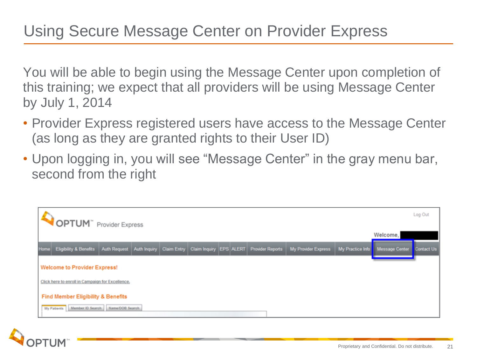You will be able to begin using the Message Center upon completion of this training; we expect that all providers will be using Message Center by July 1, 2014

- Provider Express registered users have access to the Message Center (as long as they are granted rights to their User ID)
- Upon logging in, you will see "Message Center" in the gray menu bar, second from the right



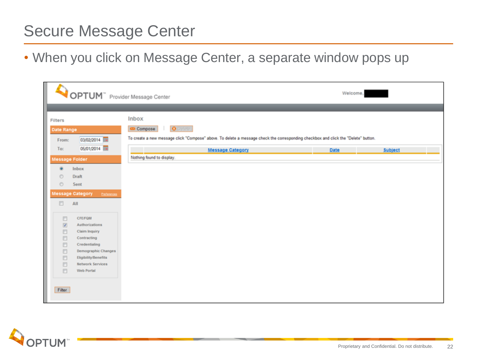#### Secure Message Center

• When you click on Message Center, a separate window pops up

|                                                                                                                                                                                                                                                                                                                                                                                                                                                                                                                                                                                                                                                                  |                                 | OPTUM" Provider Message Center                                                                                                                                            | Welcome, |         |
|------------------------------------------------------------------------------------------------------------------------------------------------------------------------------------------------------------------------------------------------------------------------------------------------------------------------------------------------------------------------------------------------------------------------------------------------------------------------------------------------------------------------------------------------------------------------------------------------------------------------------------------------------------------|---------------------------------|---------------------------------------------------------------------------------------------------------------------------------------------------------------------------|----------|---------|
|                                                                                                                                                                                                                                                                                                                                                                                                                                                                                                                                                                                                                                                                  |                                 |                                                                                                                                                                           |          |         |
| Filters<br>Date Range<br>From:                                                                                                                                                                                                                                                                                                                                                                                                                                                                                                                                                                                                                                   | 03/02/2014                      | Inbox<br>O Defete<br>Compose<br>. .<br>To create a new message click "Compose" above. To delete a message check the corresponding checkbox and click the "Delete" button. |          |         |
|                                                                                                                                                                                                                                                                                                                                                                                                                                                                                                                                                                                                                                                                  | 05/01/2014                      |                                                                                                                                                                           |          |         |
| To:                                                                                                                                                                                                                                                                                                                                                                                                                                                                                                                                                                                                                                                              |                                 | <b>Message Category</b>                                                                                                                                                   | Date     | Subject |
| <b>Message Folder</b>                                                                                                                                                                                                                                                                                                                                                                                                                                                                                                                                                                                                                                            |                                 | Nothing found to display.                                                                                                                                                 |          |         |
| ۵                                                                                                                                                                                                                                                                                                                                                                                                                                                                                                                                                                                                                                                                | Inbox                           |                                                                                                                                                                           |          |         |
| $\circ$                                                                                                                                                                                                                                                                                                                                                                                                                                                                                                                                                                                                                                                          | Draft                           |                                                                                                                                                                           |          |         |
| $\circ$                                                                                                                                                                                                                                                                                                                                                                                                                                                                                                                                                                                                                                                          | Sent                            |                                                                                                                                                                           |          |         |
|                                                                                                                                                                                                                                                                                                                                                                                                                                                                                                                                                                                                                                                                  | Message Category<br>Preferences |                                                                                                                                                                           |          |         |
|                                                                                                                                                                                                                                                                                                                                                                                                                                                                                                                                                                                                                                                                  |                                 |                                                                                                                                                                           |          |         |
| E)                                                                                                                                                                                                                                                                                                                                                                                                                                                                                                                                                                                                                                                               | All                             |                                                                                                                                                                           |          |         |
| 四                                                                                                                                                                                                                                                                                                                                                                                                                                                                                                                                                                                                                                                                | <b>CFE/FQM</b>                  |                                                                                                                                                                           |          |         |
| $[2] \centering% \includegraphics[width=0.35\textwidth]{figs/fig_4.pdf} \caption{The 3D (black) model for the $2D$-error of the data set. The left side is the same as in Figure~\ref{fig:10}. The right side is the same as in Figure~\ref{fig:10}. The right side is the same as in Figure~\ref{fig:10}. The right side is the same as in Figure~\ref{fig:10}. The right side is the same as inFigure~\ref{fig:10}. The right side is the same as inFigure~\ref{fig:10}. The right side is the same as inFigure~\ref{fig:10}. The right side is the same as inFigure~\ref{fig:10}. The right side is the same as inFigure~\ref{fig:10}. The right side is the$ | Authorizations                  |                                                                                                                                                                           |          |         |
| E)                                                                                                                                                                                                                                                                                                                                                                                                                                                                                                                                                                                                                                                               | <b>Claim Inquiry</b>            |                                                                                                                                                                           |          |         |
| E)                                                                                                                                                                                                                                                                                                                                                                                                                                                                                                                                                                                                                                                               | Contracting                     |                                                                                                                                                                           |          |         |
| 四                                                                                                                                                                                                                                                                                                                                                                                                                                                                                                                                                                                                                                                                | Credentialing                   |                                                                                                                                                                           |          |         |
| 四                                                                                                                                                                                                                                                                                                                                                                                                                                                                                                                                                                                                                                                                | <b>Demographic Changes</b>      |                                                                                                                                                                           |          |         |
| 四                                                                                                                                                                                                                                                                                                                                                                                                                                                                                                                                                                                                                                                                | <b>Eligibility Benefits</b>     |                                                                                                                                                                           |          |         |
| O                                                                                                                                                                                                                                                                                                                                                                                                                                                                                                                                                                                                                                                                | Network Services                |                                                                                                                                                                           |          |         |
| 四                                                                                                                                                                                                                                                                                                                                                                                                                                                                                                                                                                                                                                                                | Web Portal                      |                                                                                                                                                                           |          |         |
|                                                                                                                                                                                                                                                                                                                                                                                                                                                                                                                                                                                                                                                                  |                                 |                                                                                                                                                                           |          |         |
| Filter                                                                                                                                                                                                                                                                                                                                                                                                                                                                                                                                                                                                                                                           |                                 |                                                                                                                                                                           |          |         |
|                                                                                                                                                                                                                                                                                                                                                                                                                                                                                                                                                                                                                                                                  |                                 |                                                                                                                                                                           |          |         |

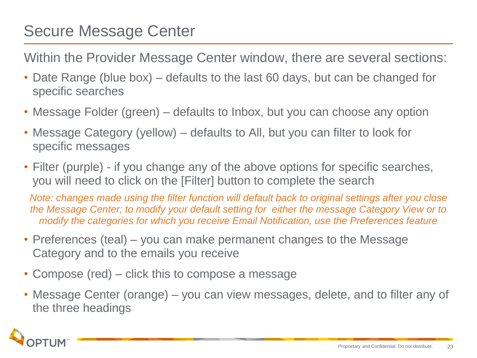## Secure Message Center

Within the Provider Message Center window, there are several sections:

- Date Range (blue box) defaults to the last 60 days, but can be changed for specific searches
- Message Folder (green) defaults to Inbox, but you can choose any option
- Message Category (yellow) defaults to All, but you can filter to look for specific messages
- Filter (purple) if you change any of the above options for specific searches, you will need to click on the [Filter] button to complete the search

*Note: changes made using the filter function will default back to original settings after you close the Message Center; to modify your default setting for either the message Category View or to modify the categories for which you receive Email Notification, use the Preferences feature*

- Preferences (teal) you can make permanent changes to the Message Category and to the emails you receive
- Compose (red) click this to compose a message
- Message Center (orange) you can view messages, delete, and to filter any of the three headings

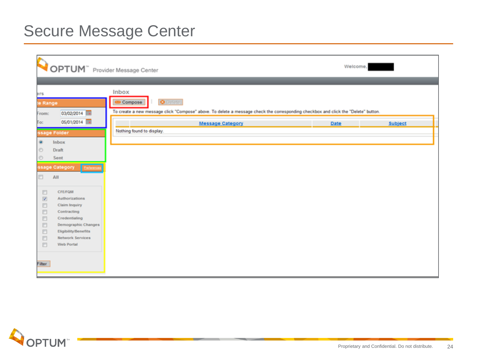## Secure Message Center

| OPTUM" Provider Message Center                                                                                                                                                                                                                    |                                                                                                                                                                           | Welcome, |         |
|---------------------------------------------------------------------------------------------------------------------------------------------------------------------------------------------------------------------------------------------------|---------------------------------------------------------------------------------------------------------------------------------------------------------------------------|----------|---------|
| ers<br>te Range<br>03/02/2014<br>From:                                                                                                                                                                                                            | Inbox<br><b>O</b> Delete<br>Compose<br>To create a new message click "Compose" above. To delete a message check the corresponding checkbox and click the "Delete" button. |          |         |
| 05/01/2014<br>To:<br>ssage Folder<br>۰<br>Inbox<br>O<br>Draft<br>O<br>Sent<br>ssage Category<br>Entered<br>E)<br>AII                                                                                                                              | <b>Message Category</b><br>Nothing found to display.                                                                                                                      | Date     | Subject |
| 目<br><b>CFE/FQM</b><br>$\boxtimes$<br>Authorizations<br>$\Box$<br><b>Claim Inquiry</b><br>$\Box$<br>Contracting<br>E<br>Credentialing<br>E<br>Demographic Changes<br>E<br>Eligibility/Benefits<br>四<br><b>Network Services</b><br>四<br>Web Portal |                                                                                                                                                                           |          |         |
| Filter                                                                                                                                                                                                                                            |                                                                                                                                                                           |          |         |

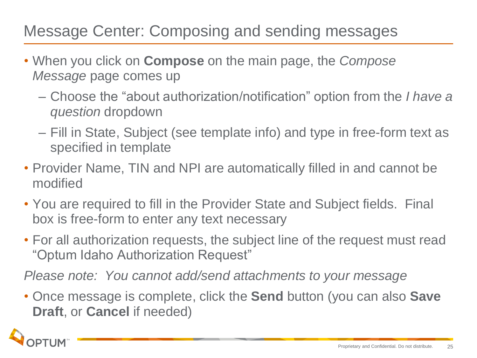## Message Center: Composing and sending messages

- When you click on **Compose** on the main page, the *Compose Message* page comes up
	- Choose the "about authorization/notification" option from the *I have a question* dropdown
	- Fill in State, Subject (see template info) and type in free-form text as specified in template
- Provider Name, TIN and NPI are automatically filled in and cannot be modified
- You are required to fill in the Provider State and Subject fields. Final box is free-form to enter any text necessary
- For all authorization requests, the subject line of the request must read "Optum Idaho Authorization Request"

*Please note: You cannot add/send attachments to your message*

• Once message is complete, click the **Send** button (you can also **Save Draft**, or **Cancel** if needed)

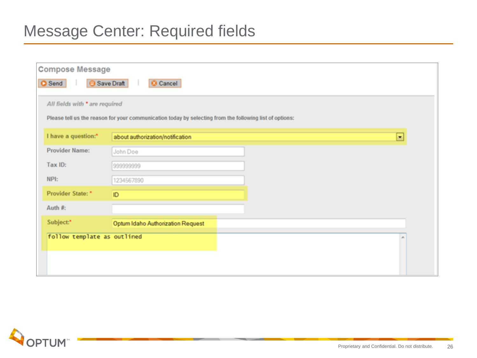#### Message Center: Required fields

| <b>Compose Message</b>                |                                                                                                         |   |  |  |  |
|---------------------------------------|---------------------------------------------------------------------------------------------------------|---|--|--|--|
| Save Draft<br><b>O</b> Send<br>Cancel |                                                                                                         |   |  |  |  |
| All fields with * are required        |                                                                                                         |   |  |  |  |
|                                       | Please tell us the reason for your communication today by selecting from the following list of options: |   |  |  |  |
| I have a question:*                   | about authorization/notification                                                                        | ۰ |  |  |  |
| Provider Name:                        | John Doe                                                                                                |   |  |  |  |
| Tax ID:                               | 999999999                                                                                               |   |  |  |  |
| NPI:                                  | 1234567890                                                                                              |   |  |  |  |
| Provider State: *                     | ID                                                                                                      |   |  |  |  |
| Auth #:                               |                                                                                                         |   |  |  |  |
| Subject:*                             | Optum Idaho Authorization Request                                                                       |   |  |  |  |
| follow template as outlined           |                                                                                                         |   |  |  |  |
|                                       |                                                                                                         |   |  |  |  |
|                                       |                                                                                                         |   |  |  |  |

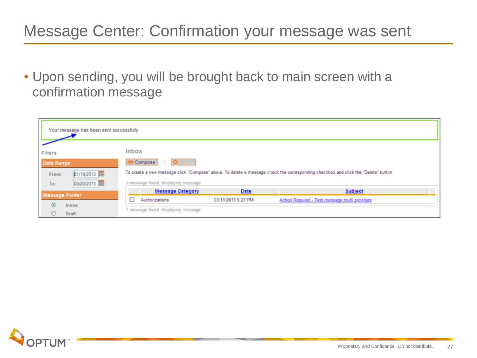## Message Center: Confirmation your message was sent

• Upon sending, you will be brought back to main screen with a confirmation message

| Your message has been sent successfully. |                                                                                                                                    |                    |                                                |  |
|------------------------------------------|------------------------------------------------------------------------------------------------------------------------------------|--------------------|------------------------------------------------|--|
| <b>Filters</b>                           | <b>Inbox</b>                                                                                                                       |                    |                                                |  |
| <b>Date Range</b>                        | <b>O</b> Defete<br>Compose                                                                                                         |                    |                                                |  |
| D1/19/2013<br>From:                      | To create a new message click "Compose" above. To delete a message check the corresponding checkbox and click the "Delete" button. |                    |                                                |  |
| 03/20/2013<br>To:                        | 1 message found, displaying message                                                                                                |                    |                                                |  |
| <b>Message Folder</b>                    | <b>Message Category</b>                                                                                                            | Date               | <b>Subject</b>                                 |  |
|                                          | □<br>Authorizations                                                                                                                | 03/11/2013 6:23 PM | Action Required - Test message multi providers |  |
| $\odot$<br>Inbox<br>Draft<br>О           | 1 message found, displaying message                                                                                                |                    |                                                |  |

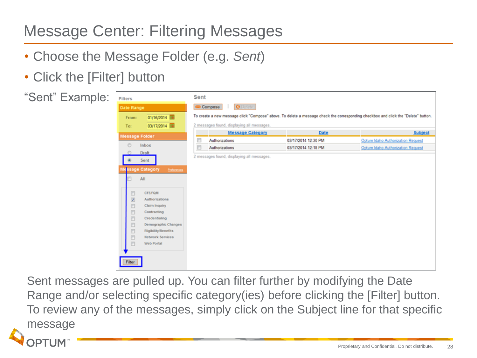## Message Center: Filtering Messages

- Choose the Message Folder (e.g. *Sent*)
- Click the [Filter] button



Sent messages are pulled up. You can filter further by modifying the Date Range and/or selecting specific category(ies) before clicking the [Filter] button. To review any of the messages, simply click on the Subject line for that specific messagePTUM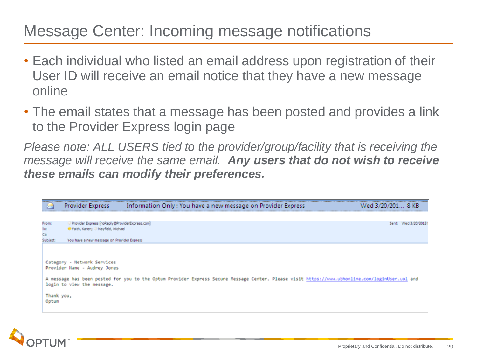#### Message Center: Incoming message notifications

- Each individual who listed an email address upon registration of their User ID will receive an email notice that they have a new message online
- The email states that a message has been posted and provides a link to the Provider Express login page

*Please note: ALL USERS tied to the provider/group/facility that is receiving the message will receive the same email. Any users that do not wish to receive these emails can modify their preferences.* 

|            | Information Only : You have a new message on Provider Express<br>Provider Express                                                                                                                        | 1 8 KB              |
|------------|----------------------------------------------------------------------------------------------------------------------------------------------------------------------------------------------------------|---------------------|
|            |                                                                                                                                                                                                          |                     |
| From       | Provider Express [noReply@ProviderExpress.com]                                                                                                                                                           | Sent: Wed 3/20/2013 |
| To:        |                                                                                                                                                                                                          |                     |
| Co         |                                                                                                                                                                                                          |                     |
| Subject    | You have a new message on Provider Express                                                                                                                                                               |                     |
| Thank you, | der Name - Audrey Jones<br>A message has been posted for you to the Optum Provider Express Secure Message Center. Please visit https://www.ubhonline.com/loginUser.uol and<br>login to view the message. |                     |

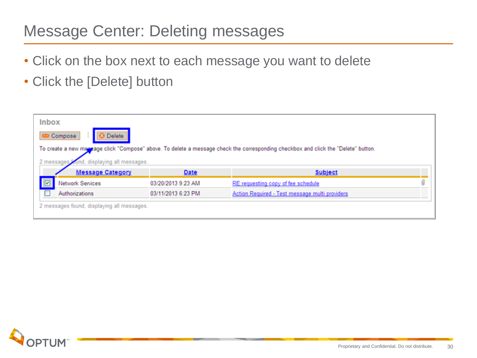## Message Center: Deleting messages

- Click on the box next to each message you want to delete
- Click the [Delete] button

| <b>Inbox</b><br><b>Delete</b><br><b>3</b> Compose |                    |                                                                                                                                    |   |
|---------------------------------------------------|--------------------|------------------------------------------------------------------------------------------------------------------------------------|---|
|                                                   |                    | To create a new mensage click "Compose" above. To delete a message check the corresponding checkbox and click the "Delete" button. |   |
|                                                   |                    |                                                                                                                                    |   |
| und, displaying all messages.<br>2 messages       |                    |                                                                                                                                    |   |
| <b>Message Category</b>                           | Date               | <b>Subject</b>                                                                                                                     |   |
| 回<br><b>Network Services</b>                      | 03/20/2013 9:23 AM | RE:requesting copy of fee schedule                                                                                                 | Û |

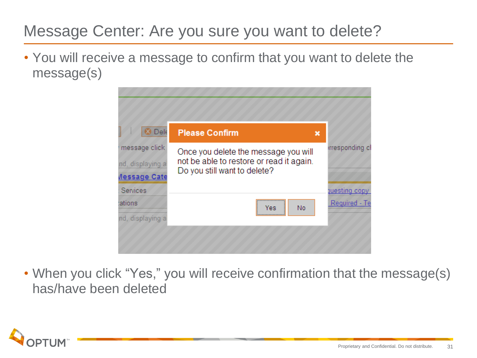## Message Center: Are you sure you want to delete?

• You will receive a message to confirm that you want to delete the message(s)



• When you click "Yes," you will receive confirmation that the message(s) has/have been deleted

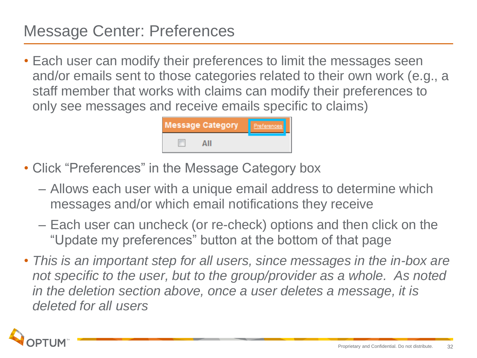#### Message Center: Preferences

• Each user can modify their preferences to limit the messages seen and/or emails sent to those categories related to their own work (e.g., a staff member that works with claims can modify their preferences to only see messages and receive emails specific to claims)



- Click "Preferences" in the Message Category box
	- Allows each user with a unique email address to determine which messages and/or which email notifications they receive
	- Each user can uncheck (or re-check) options and then click on the "Update my preferences" button at the bottom of that page
- *This is an important step for all users, since messages in the in-box are not specific to the user, but to the group/provider as a whole. As noted in the deletion section above, once a user deletes a message, it is deleted for all users*

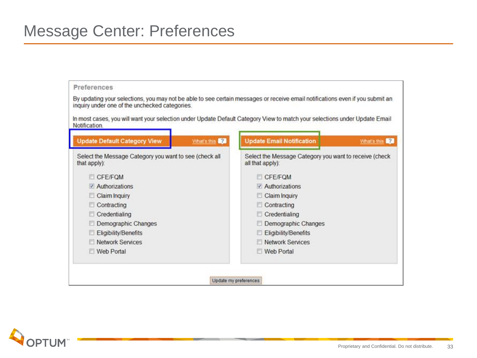| Notification.                                                          |             | In most cases, you will want your selection under Update Default Category View to match your selections under Update Email |             |
|------------------------------------------------------------------------|-------------|----------------------------------------------------------------------------------------------------------------------------|-------------|
| <b>Update Default Category View</b>                                    | What's this | <b>Update Email Notification</b>                                                                                           | What's this |
| Select the Message Category you want to see (check all<br>that apply): |             | Select the Message Category you want to receive (check<br>all that apply):                                                 |             |
| CFE/FQM                                                                |             | <b>CFE/FOM</b>                                                                                                             |             |
| Authorizations                                                         |             | Authorizations                                                                                                             |             |
| Claim Inquiry                                                          |             | <b>Claim Inquiry</b>                                                                                                       |             |
| Contracting                                                            |             | Contracting                                                                                                                |             |
| Credentialing                                                          |             | Credentialing                                                                                                              |             |
| Demographic Changes                                                    |             | Demographic Changes                                                                                                        |             |
| Eligibility/Benefits                                                   |             | Eligibility/Benefits                                                                                                       |             |
| <b>Network Services</b>                                                |             | Network Services                                                                                                           |             |
| Web Portal                                                             |             | Web Portal                                                                                                                 |             |

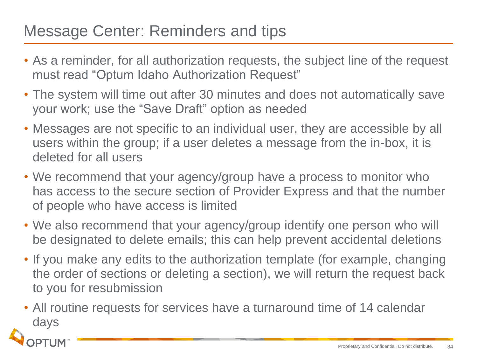#### Message Center: Reminders and tips

- As a reminder, for all authorization requests, the subject line of the request must read "Optum Idaho Authorization Request"
- The system will time out after 30 minutes and does not automatically save your work; use the "Save Draft" option as needed
- Messages are not specific to an individual user, they are accessible by all users within the group; if a user deletes a message from the in-box, it is deleted for all users
- We recommend that your agency/group have a process to monitor who has access to the secure section of Provider Express and that the number of people who have access is limited
- We also recommend that your agency/group identify one person who will be designated to delete emails; this can help prevent accidental deletions
- If you make any edits to the authorization template (for example, changing the order of sections or deleting a section), we will return the request back to you for resubmission
- All routine requests for services have a turnaround time of 14 calendar days

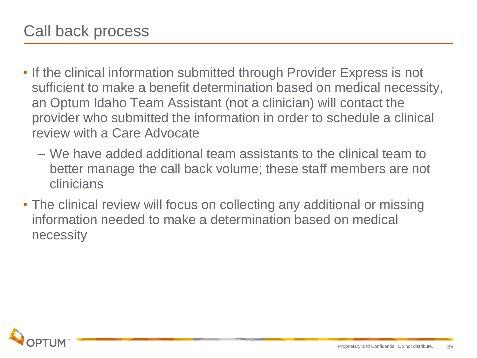- If the clinical information submitted through Provider Express is not sufficient to make a benefit determination based on medical necessity, an Optum Idaho Team Assistant (not a clinician) will contact the provider who submitted the information in order to schedule a clinical review with a Care Advocate
	- We have added additional team assistants to the clinical team to better manage the call back volume; these staff members are not clinicians
- The clinical review will focus on collecting any additional or missing information needed to make a determination based on medical necessity

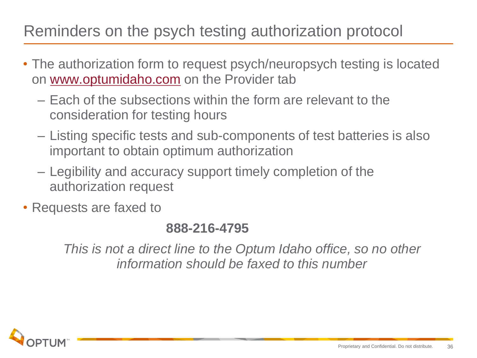### Reminders on the psych testing authorization protocol

- The authorization form to request psych/neuropsych testing is located on [www.optumidaho.com](http://www.optumidaho.com/) on the Provider tab
	- Each of the subsections within the form are relevant to the consideration for testing hours
	- Listing specific tests and sub-components of test batteries is also important to obtain optimum authorization
	- Legibility and accuracy support timely completion of the authorization request
- Requests are faxed to

#### **888-216-4795**

*This is not a direct line to the Optum Idaho office, so no other information should be faxed to this number*

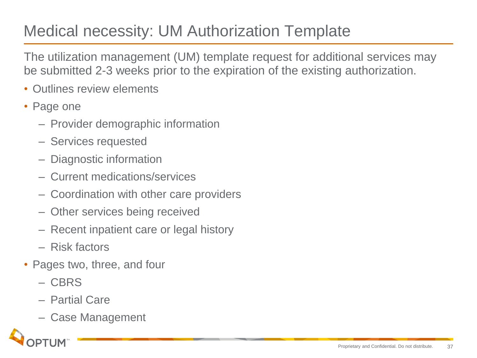## Medical necessity: UM Authorization Template

The utilization management (UM) template request for additional services may be submitted 2-3 weeks prior to the expiration of the existing authorization.

- Outlines review elements
- Page one
	- Provider demographic information
	- Services requested
	- Diagnostic information
	- Current medications/services
	- Coordination with other care providers
	- Other services being received
	- Recent inpatient care or legal history
	- Risk factors
- Pages two, three, and four
	- CBRS
	- Partial Care
	- Case Management

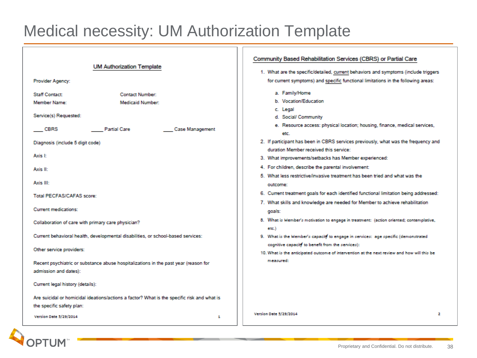#### Medical necessity: UM Authorization Template

| <b>UM Authorization Template</b><br>Provider Agency:                                                                                                                                                                                                                                                                                                                                                                                                                                                                                                                                            | Community Based Rehabilitation Services (CBRS) or Partial Care<br>1. What are the specific/detailed, current behaviors and symptoms (include triggers<br>for current symptoms) and specific functional limitations in the following areas:                                                                                                                                                                                                                                                                                                                                                                                                                                                                                                                                                                                                                                                                                                                                                                                                                |
|-------------------------------------------------------------------------------------------------------------------------------------------------------------------------------------------------------------------------------------------------------------------------------------------------------------------------------------------------------------------------------------------------------------------------------------------------------------------------------------------------------------------------------------------------------------------------------------------------|-----------------------------------------------------------------------------------------------------------------------------------------------------------------------------------------------------------------------------------------------------------------------------------------------------------------------------------------------------------------------------------------------------------------------------------------------------------------------------------------------------------------------------------------------------------------------------------------------------------------------------------------------------------------------------------------------------------------------------------------------------------------------------------------------------------------------------------------------------------------------------------------------------------------------------------------------------------------------------------------------------------------------------------------------------------|
| <b>Staff Contact:</b><br><b>Contact Number:</b><br>Member Name:<br><b>Medicaid Number:</b><br>Service(s) Requested:<br><b>Partial Care</b><br>Case Management<br>CBRS<br>Diagnosis (include 5 digit code)<br>Axis I:<br>Axis II:<br>Axis III:<br>Total PECFAS/CAFAS score:<br><b>Current medications:</b><br>Collaboration of care with primary care physician?<br>Current behavioral health, developmental disabilities, or school-based services:<br>Other service providers:<br>Recent psychiatric or substance abuse hospitalizations in the past year (reason for<br>admission and dates): | a. Family/Home<br>b. Vocation/Education<br>c. Legal<br>d. Social/ Community<br>e. Resource access: physical location; housing, finance, medical services,<br>etc.<br>2. If participant has been in CBRS services previously, what was the frequency and<br>duration Member received this service:<br>3. What improvements/setbacks has Member experienced:<br>4. For children, describe the parental involvement:<br>5. What less restrictive/invasive treatment has been tried and what was the<br>outcome:<br>6. Current treatment goals for each identified functional limitation being addressed:<br>7. What skills and knowledge are needed for Member to achieve rehabilitation<br>goals:<br>8. What is Member's motivation to engage in treatment: (action oriented; contemplative,<br>etc.<br>9. What is the Member's capacity to engage in services: age specific (demonstrated<br>cognitive capacity to benefit from the services):<br>10. What is the anticipated outcome of intervention at the next review and how will this be<br>measured: |
| Current legal history (details):<br>Are suicidal or homicidal ideations/actions a factor? What is the specific risk and what is<br>the specific safety plan:<br><b>Version Date 5/29/2014</b><br>1                                                                                                                                                                                                                                                                                                                                                                                              | <b>Version Date 5/29/2014</b><br>2                                                                                                                                                                                                                                                                                                                                                                                                                                                                                                                                                                                                                                                                                                                                                                                                                                                                                                                                                                                                                        |

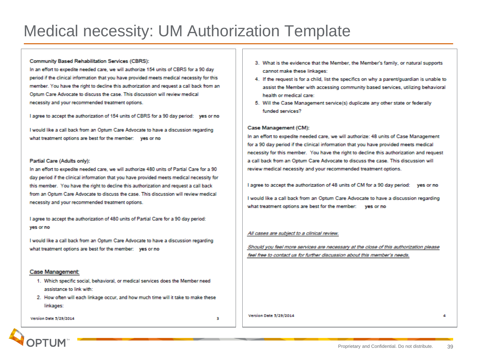#### Medical necessity: UM Authorization Template

#### Community Based Rehabilitation Services (CBRS):

In an effort to expedite needed care, we will authorize 154 units of CBRS for a 90 day period if the clinical information that you have provided meets medical necessity for this member. You have the right to decline this authorization and request a call back from an Optum Care Advocate to discuss the case. This discussion will review medical necessity and your recommended treatment options.

I agree to accept the authorization of 154 units of CBRS for a 90 day period: yes or no

I would like a call back from an Optum Care Advocate to have a discussion regarding what treatment options are best for the member: yes or no

#### Partial Care (Adults only):

In an effort to expedite needed care, we will authorize 480 units of Partial Care for a 90 day period if the clinical information that you have provided meets medical necessity for this member. You have the right to decline this authorization and request a call back from an Optum Care Advocate to discuss the case. This discussion will review medical necessity and your recommended treatment options.

I agree to accept the authorization of 480 units of Partial Care for a 90 day period: ves or no

I would like a call back from an Optum Care Advocate to have a discussion regarding what treatment options are best for the member: yes or no

#### Case Management:

- 1. Which specific social, behavioral, or medical services does the Member need assistance to link with:
- 2. How often will each linkage occur, and how much time will it take to make these linkages:

**Version Date 5/29/2014** 

з

- 3. What is the evidence that the Member, the Member's family, or natural supports cannot make these linkages:
- 4. If the request is for a child, list the specifics on why a parent/quardian is unable to assist the Member with accessing community based services, utilizing behavioral health or medical care:
- 5. Will the Case Management service(s) duplicate any other state or federally funded services?

#### Case Management (CM):

In an effort to expedite needed care, we will authorize: 48 units of Case Management for a 90 day period if the clinical information that you have provided meets medical necessity for this member. You have the right to decline this authorization and request a call back from an Optum Care Advocate to discuss the case. This discussion will review medical necessity and your recommended treatment options.

I agree to accept the authorization of 48 units of CM for a 90 day period: yes or no

I would like a call back from an Optum Care Advocate to have a discussion regarding what treatment options are best for the member: ves or no

#### All cases are subject to a clinical review.

Should you feel more services are necessary at the close of this authorization please feel free to contact us for further discussion about this member's needs.

Version Date 3/29/2014



А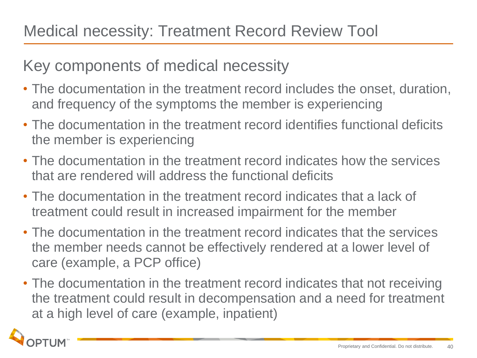#### Key components of medical necessity

- The documentation in the treatment record includes the onset, duration, and frequency of the symptoms the member is experiencing
- The documentation in the treatment record identifies functional deficits the member is experiencing
- The documentation in the treatment record indicates how the services that are rendered will address the functional deficits
- The documentation in the treatment record indicates that a lack of treatment could result in increased impairment for the member
- The documentation in the treatment record indicates that the services the member needs cannot be effectively rendered at a lower level of care (example, a PCP office)
- The documentation in the treatment record indicates that not receiving the treatment could result in decompensation and a need for treatment at a high level of care (example, inpatient)

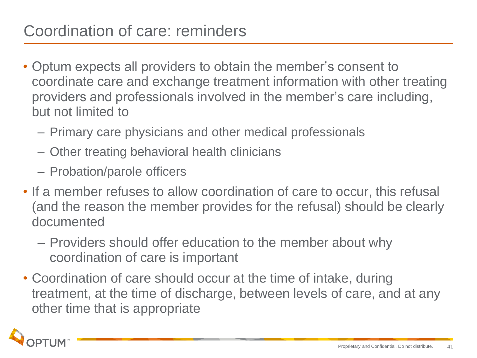- Optum expects all providers to obtain the member's consent to coordinate care and exchange treatment information with other treating providers and professionals involved in the member's care including, but not limited to
	- Primary care physicians and other medical professionals
	- Other treating behavioral health clinicians
	- Probation/parole officers
- If a member refuses to allow coordination of care to occur, this refusal (and the reason the member provides for the refusal) should be clearly documented
	- Providers should offer education to the member about why coordination of care is important
- Coordination of care should occur at the time of intake, during treatment, at the time of discharge, between levels of care, and at any other time that is appropriate

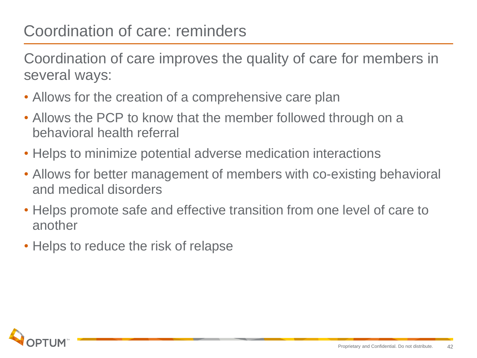### Coordination of care: reminders

Coordination of care improves the quality of care for members in several ways:

- Allows for the creation of a comprehensive care plan
- Allows the PCP to know that the member followed through on a behavioral health referral
- Helps to minimize potential adverse medication interactions
- Allows for better management of members with co-existing behavioral and medical disorders
- Helps promote safe and effective transition from one level of care to another
- Helps to reduce the risk of relapse

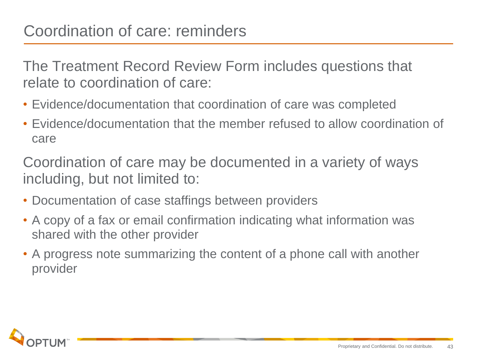#### Coordination of care: reminders

The Treatment Record Review Form includes questions that relate to coordination of care:

- Evidence/documentation that coordination of care was completed
- Evidence/documentation that the member refused to allow coordination of care

Coordination of care may be documented in a variety of ways including, but not limited to:

- Documentation of case staffings between providers
- A copy of a fax or email confirmation indicating what information was shared with the other provider
- A progress note summarizing the content of a phone call with another provider

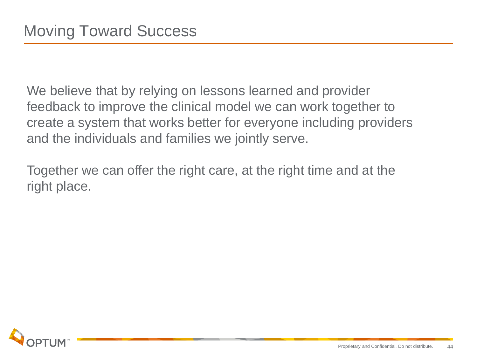We believe that by relying on lessons learned and provider feedback to improve the clinical model we can work together to create a system that works better for everyone including providers and the individuals and families we jointly serve.

Together we can offer the right care, at the right time and at the right place.